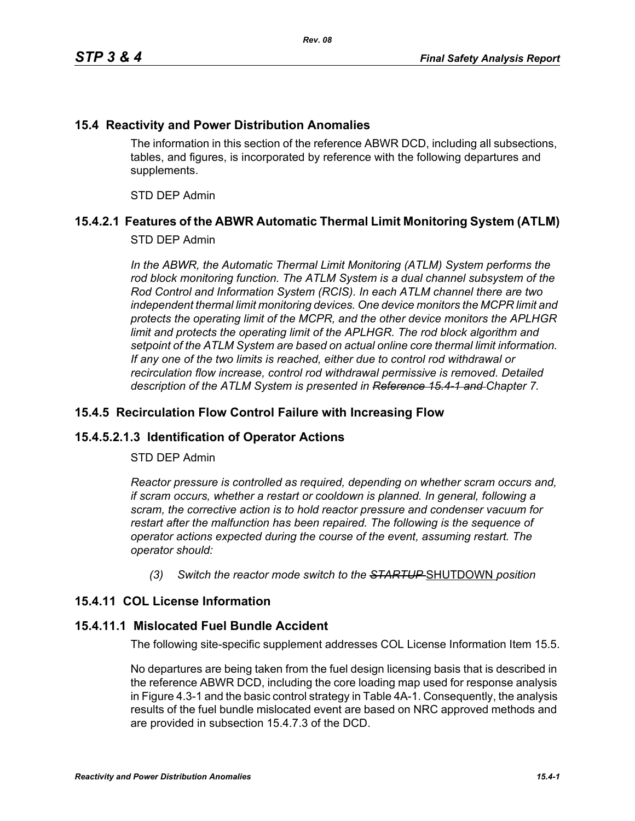### **15.4 Reactivity and Power Distribution Anomalies**

The information in this section of the reference ABWR DCD, including all subsections, tables, and figures, is incorporated by reference with the following departures and supplements.

STD DEP Admin

# **15.4.2.1 Features of the ABWR Automatic Thermal Limit Monitoring System (ATLM)**

#### STD DEP Admin

In the ABWR, the Automatic Thermal Limit Monitoring (ATLM) System performs the *rod block monitoring function. The ATLM System is a dual channel subsystem of the Rod Control and Information System (RCIS). In each ATLM channel there are two independent thermal limit monitoring devices. One device monitors the MCPR limit and protects the operating limit of the MCPR, and the other device monitors the APLHGR*  limit and protects the operating limit of the APLHGR. The rod block algorithm and *setpoint of the ATLM System are based on actual online core thermal limit information. If any one of the two limits is reached, either due to control rod withdrawal or recirculation flow increase, control rod withdrawal permissive is removed. Detailed description of the ATLM System is presented in Reference 15.4-1 and Chapter 7.*

#### **15.4.5 Recirculation Flow Control Failure with Increasing Flow**

# **15.4.5.2.1.3 Identification of Operator Actions**

#### STD DEP Admin

*Reactor pressure is controlled as required, depending on whether scram occurs and, if scram occurs, whether a restart or cooldown is planned. In general, following a scram, the corrective action is to hold reactor pressure and condenser vacuum for restart after the malfunction has been repaired. The following is the sequence of operator actions expected during the course of the event, assuming restart. The operator should:*

*(3) Switch the reactor mode switch to the STARTUP* SHUTDOWN *position*

# **15.4.11 COL License Information**

#### **15.4.11.1 Mislocated Fuel Bundle Accident**

The following site-specific supplement addresses COL License Information Item 15.5.

No departures are being taken from the fuel design licensing basis that is described in the reference ABWR DCD, including the core loading map used for response analysis in Figure 4.3-1 and the basic control strategy in Table 4A-1. Consequently, the analysis results of the fuel bundle mislocated event are based on NRC approved methods and are provided in subsection 15.4.7.3 of the DCD.